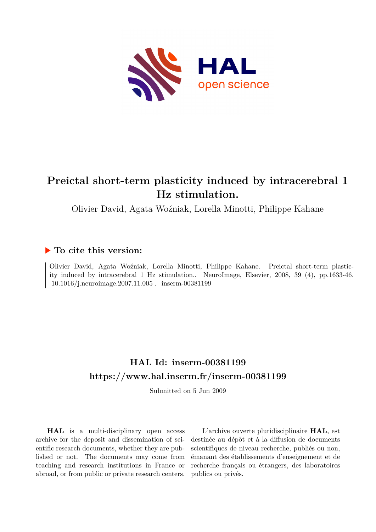

# **Preictal short-term plasticity induced by intracerebral 1 Hz stimulation.**

Olivier David, Agata Woźniak, Lorella Minotti, Philippe Kahane

## **To cite this version:**

Olivier David, Agata Woźniak, Lorella Minotti, Philippe Kahane. Preictal short-term plasticity induced by intracerebral 1 Hz stimulation.. NeuroImage, Elsevier, 2008, 39 (4), pp.1633-46. 10.1016/j.neuroimage.2007.11.005. inserm-00381199

## **HAL Id: inserm-00381199 <https://www.hal.inserm.fr/inserm-00381199>**

Submitted on 5 Jun 2009

**HAL** is a multi-disciplinary open access archive for the deposit and dissemination of scientific research documents, whether they are published or not. The documents may come from teaching and research institutions in France or abroad, or from public or private research centers.

L'archive ouverte pluridisciplinaire **HAL**, est destinée au dépôt et à la diffusion de documents scientifiques de niveau recherche, publiés ou non, émanant des établissements d'enseignement et de recherche français ou étrangers, des laboratoires publics ou privés.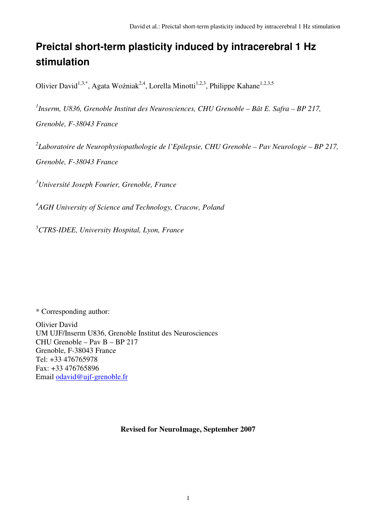# **Preictal short-term plasticity induced by intracerebral 1 Hz stimulation**

Olivier David<sup>1,3,\*</sup>, Agata Woźniak<sup>2,4</sup>, Lorella Minotti<sup>1,2,3</sup>, Philippe Kahane<sup>1,2,3,5</sup>

*1 Inserm, U836, Grenoble Institut des Neurosciences, CHU Grenoble – Bât E. Safra – BP 217, Grenoble, F-38043 France* 

*2 Laboratoire de Neurophysiopathologie de l'Epilepsie, CHU Grenoble – Pav Neurologie – BP 217, Grenoble, F-38043 France*

*<sup>3</sup>Université Joseph Fourier, Grenoble, France* 

*4 AGH University of Science and Technology, Cracow, Poland* 

*<sup>5</sup>CTRS-IDEE, University Hospital, Lyon, France* 

\* Corresponding author:

Olivier David UM UJF/Inserm U836, Grenoble Institut des Neurosciences CHU Grenoble – Pav B – BP 217 Grenoble, F-38043 France Tel: +33 476765978 Fax: +33 476765896 Email odavid@ujf-grenoble.fr

### **Revised for NeuroImage, September 2007**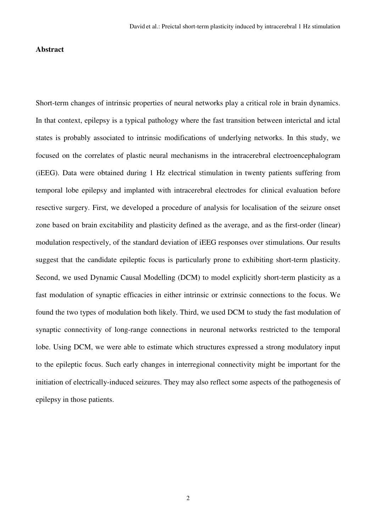#### **Abstract**

Short-term changes of intrinsic properties of neural networks play a critical role in brain dynamics. In that context, epilepsy is a typical pathology where the fast transition between interictal and ictal states is probably associated to intrinsic modifications of underlying networks. In this study, we focused on the correlates of plastic neural mechanisms in the intracerebral electroencephalogram (iEEG). Data were obtained during 1 Hz electrical stimulation in twenty patients suffering from temporal lobe epilepsy and implanted with intracerebral electrodes for clinical evaluation before resective surgery. First, we developed a procedure of analysis for localisation of the seizure onset zone based on brain excitability and plasticity defined as the average, and as the first-order (linear) modulation respectively, of the standard deviation of iEEG responses over stimulations. Our results suggest that the candidate epileptic focus is particularly prone to exhibiting short-term plasticity. Second, we used Dynamic Causal Modelling (DCM) to model explicitly short-term plasticity as a fast modulation of synaptic efficacies in either intrinsic or extrinsic connections to the focus. We found the two types of modulation both likely. Third, we used DCM to study the fast modulation of synaptic connectivity of long-range connections in neuronal networks restricted to the temporal lobe. Using DCM, we were able to estimate which structures expressed a strong modulatory input to the epileptic focus. Such early changes in interregional connectivity might be important for the initiation of electrically-induced seizures. They may also reflect some aspects of the pathogenesis of epilepsy in those patients.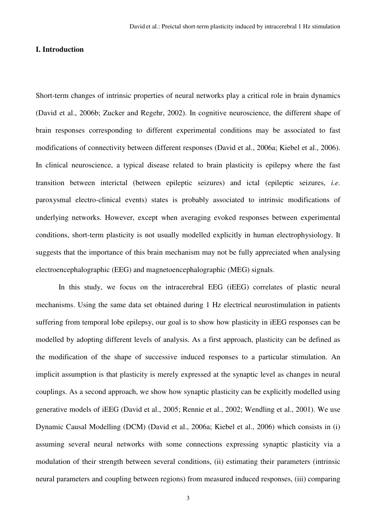#### **I. Introduction**

Short-term changes of intrinsic properties of neural networks play a critical role in brain dynamics (David et al., 2006b; Zucker and Regehr, 2002). In cognitive neuroscience, the different shape of brain responses corresponding to different experimental conditions may be associated to fast modifications of connectivity between different responses (David et al., 2006a; Kiebel et al., 2006). In clinical neuroscience, a typical disease related to brain plasticity is epilepsy where the fast transition between interictal (between epileptic seizures) and ictal (epileptic seizures, *i.e.* paroxysmal electro-clinical events) states is probably associated to intrinsic modifications of underlying networks. However, except when averaging evoked responses between experimental conditions, short-term plasticity is not usually modelled explicitly in human electrophysiology. It suggests that the importance of this brain mechanism may not be fully appreciated when analysing electroencephalographic (EEG) and magnetoencephalographic (MEG) signals.

In this study, we focus on the intracerebral EEG (iEEG) correlates of plastic neural mechanisms. Using the same data set obtained during 1 Hz electrical neurostimulation in patients suffering from temporal lobe epilepsy, our goal is to show how plasticity in iEEG responses can be modelled by adopting different levels of analysis. As a first approach, plasticity can be defined as the modification of the shape of successive induced responses to a particular stimulation. An implicit assumption is that plasticity is merely expressed at the synaptic level as changes in neural couplings. As a second approach, we show how synaptic plasticity can be explicitly modelled using generative models of iEEG (David et al., 2005; Rennie et al., 2002; Wendling et al., 2001). We use Dynamic Causal Modelling (DCM) (David et al., 2006a; Kiebel et al., 2006) which consists in (i) assuming several neural networks with some connections expressing synaptic plasticity via a modulation of their strength between several conditions, (ii) estimating their parameters (intrinsic neural parameters and coupling between regions) from measured induced responses, (iii) comparing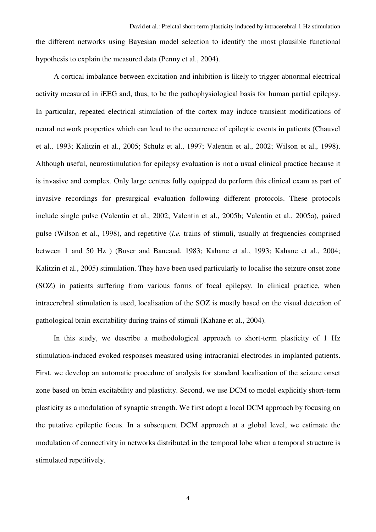the different networks using Bayesian model selection to identify the most plausible functional hypothesis to explain the measured data (Penny et al., 2004).

A cortical imbalance between excitation and inhibition is likely to trigger abnormal electrical activity measured in iEEG and, thus, to be the pathophysiological basis for human partial epilepsy. In particular, repeated electrical stimulation of the cortex may induce transient modifications of neural network properties which can lead to the occurrence of epileptic events in patients (Chauvel et al., 1993; Kalitzin et al., 2005; Schulz et al., 1997; Valentin et al., 2002; Wilson et al., 1998). Although useful, neurostimulation for epilepsy evaluation is not a usual clinical practice because it is invasive and complex. Only large centres fully equipped do perform this clinical exam as part of invasive recordings for presurgical evaluation following different protocols. These protocols include single pulse (Valentin et al., 2002; Valentin et al., 2005b; Valentin et al., 2005a), paired pulse (Wilson et al., 1998), and repetitive (*i.e.* trains of stimuli, usually at frequencies comprised between 1 and 50 Hz ) (Buser and Bancaud, 1983; Kahane et al., 1993; Kahane et al., 2004; Kalitzin et al., 2005) stimulation. They have been used particularly to localise the seizure onset zone (SOZ) in patients suffering from various forms of focal epilepsy. In clinical practice, when intracerebral stimulation is used, localisation of the SOZ is mostly based on the visual detection of pathological brain excitability during trains of stimuli (Kahane et al., 2004).

In this study, we describe a methodological approach to short-term plasticity of 1 Hz stimulation-induced evoked responses measured using intracranial electrodes in implanted patients. First, we develop an automatic procedure of analysis for standard localisation of the seizure onset zone based on brain excitability and plasticity. Second, we use DCM to model explicitly short-term plasticity as a modulation of synaptic strength. We first adopt a local DCM approach by focusing on the putative epileptic focus. In a subsequent DCM approach at a global level, we estimate the modulation of connectivity in networks distributed in the temporal lobe when a temporal structure is stimulated repetitively.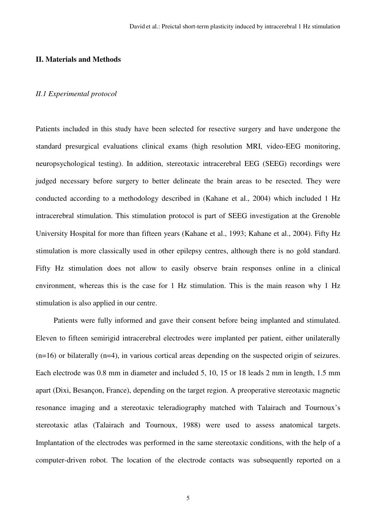#### **II. Materials and Methods**

#### *II.1 Experimental protocol*

Patients included in this study have been selected for resective surgery and have undergone the standard presurgical evaluations clinical exams (high resolution MRI, video-EEG monitoring, neuropsychological testing). In addition, stereotaxic intracerebral EEG (SEEG) recordings were judged necessary before surgery to better delineate the brain areas to be resected. They were conducted according to a methodology described in (Kahane et al., 2004) which included 1 Hz intracerebral stimulation. This stimulation protocol is part of SEEG investigation at the Grenoble University Hospital for more than fifteen years (Kahane et al., 1993; Kahane et al., 2004). Fifty Hz stimulation is more classically used in other epilepsy centres, although there is no gold standard. Fifty Hz stimulation does not allow to easily observe brain responses online in a clinical environment, whereas this is the case for 1 Hz stimulation. This is the main reason why 1 Hz stimulation is also applied in our centre.

Patients were fully informed and gave their consent before being implanted and stimulated. Eleven to fifteen semirigid intracerebral electrodes were implanted per patient, either unilaterally (n=16) or bilaterally (n=4), in various cortical areas depending on the suspected origin of seizures. Each electrode was 0.8 mm in diameter and included 5, 10, 15 or 18 leads 2 mm in length, 1.5 mm apart (Dixi, Besançon, France), depending on the target region. A preoperative stereotaxic magnetic resonance imaging and a stereotaxic teleradiography matched with Talairach and Tournoux's stereotaxic atlas (Talairach and Tournoux, 1988) were used to assess anatomical targets. Implantation of the electrodes was performed in the same stereotaxic conditions, with the help of a computer-driven robot. The location of the electrode contacts was subsequently reported on a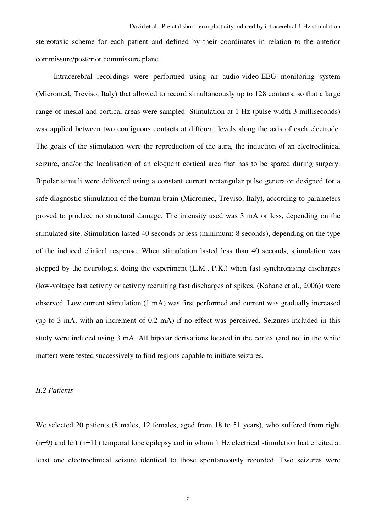stereotaxic scheme for each patient and defined by their coordinates in relation to the anterior commissure/posterior commissure plane.

Intracerebral recordings were performed using an audio-video-EEG monitoring system (Micromed, Treviso, Italy) that allowed to record simultaneously up to 128 contacts, so that a large range of mesial and cortical areas were sampled. Stimulation at 1 Hz (pulse width 3 milliseconds) was applied between two contiguous contacts at different levels along the axis of each electrode. The goals of the stimulation were the reproduction of the aura, the induction of an electroclinical seizure, and/or the localisation of an eloquent cortical area that has to be spared during surgery. Bipolar stimuli were delivered using a constant current rectangular pulse generator designed for a safe diagnostic stimulation of the human brain (Micromed, Treviso, Italy), according to parameters proved to produce no structural damage. The intensity used was 3 mA or less, depending on the stimulated site. Stimulation lasted 40 seconds or less (minimum: 8 seconds), depending on the type of the induced clinical response. When stimulation lasted less than 40 seconds, stimulation was stopped by the neurologist doing the experiment (L.M., P.K.) when fast synchronising discharges (low-voltage fast activity or activity recruiting fast discharges of spikes, (Kahane et al., 2006)) were observed. Low current stimulation (1 mA) was first performed and current was gradually increased (up to 3 mA, with an increment of 0.2 mA) if no effect was perceived. Seizures included in this study were induced using 3 mA. All bipolar derivations located in the cortex (and not in the white matter) were tested successively to find regions capable to initiate seizures.

#### *II.2 Patients*

We selected 20 patients (8 males, 12 females, aged from 18 to 51 years), who suffered from right  $(n=9)$  and left  $(n=11)$  temporal lobe epilepsy and in whom 1 Hz electrical stimulation had elicited at least one electroclinical seizure identical to those spontaneously recorded. Two seizures were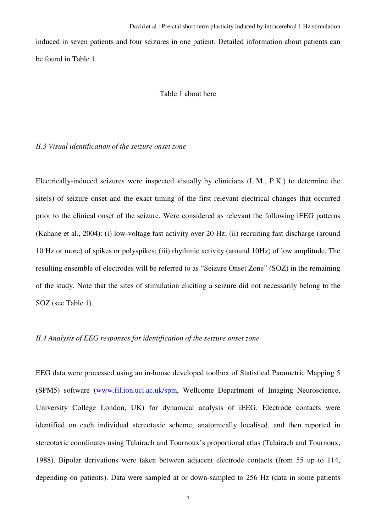induced in seven patients and four seizures in one patient. Detailed information about patients can be found in Table 1.

#### Table 1 about here

#### *II.3 Visual identification of the seizure onset zone*

Electrically-induced seizures were inspected visually by clinicians (L.M., P.K.) to determine the site(s) of seizure onset and the exact timing of the first relevant electrical changes that occurred prior to the clinical onset of the seizure. Were considered as relevant the following iEEG patterns (Kahane et al., 2004): (i) low-voltage fast activity over 20 Hz; (ii) recruiting fast discharge (around 10 Hz or more) of spikes or polyspikes; (iii) rhythmic activity (around 10Hz) of low amplitude. The resulting ensemble of electrodes will be referred to as "Seizure Onset Zone" (SOZ) in the remaining of the study. Note that the sites of stimulation eliciting a seizure did not necessarily belong to the SOZ (see Table 1).

#### *II.4 Analysis of EEG responses for identification of the seizure onset zone*

EEG data were processed using an in-house developed toolbox of Statistical Parametric Mapping 5 (SPM5) software (www.fil.ion.ucl.ac.uk/spm, Wellcome Department of Imaging Neuroscience, University College London, UK) for dynamical analysis of iEEG. Electrode contacts were identified on each individual stereotaxic scheme, anatomically localised, and then reported in stereotaxic coordinates using Talairach and Tournoux's proportional atlas (Talairach and Tournoux, 1988). Bipolar derivations were taken between adjacent electrode contacts (from 55 up to 114, depending on patients). Data were sampled at or down-sampled to 256 Hz (data in some patients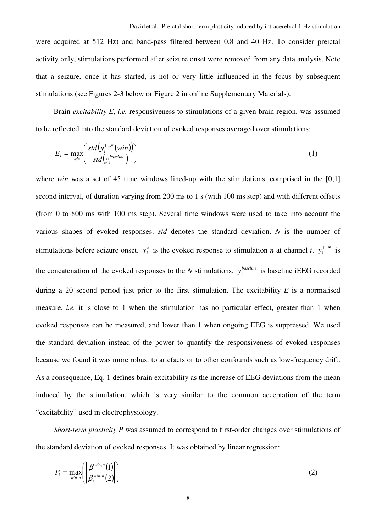were acquired at 512 Hz) and band-pass filtered between 0.8 and 40 Hz. To consider preictal activity only, stimulations performed after seizure onset were removed from any data analysis. Note that a seizure, once it has started, is not or very little influenced in the focus by subsequent stimulations (see Figures 2-3 below or Figure 2 in online Supplementary Materials).

Brain *excitability E*, *i.e.* responsiveness to stimulations of a given brain region, was assumed to be reflected into the standard deviation of evoked responses averaged over stimulations:

$$
E_i = \max_{\text{win}} \left( \frac{std\left(\mathbf{y}_i^{1...N}\left(\text{win}\right)\right)}{std\left(\mathbf{y}_i^{baseline}\right)} \right) \tag{1}
$$

where *win* was a set of 45 time windows lined-up with the stimulations, comprised in the [0;1] second interval, of duration varying from 200 ms to 1 s (with 100 ms step) and with different offsets (from 0 to 800 ms with 100 ms step). Several time windows were used to take into account the various shapes of evoked responses. *std* denotes the standard deviation. *N* is the number of stimulations before seizure onset.  $y_i^n$  is the evoked response to stimulation *n* at channel *i*,  $y_i^{\text{1...}N}$  $y_i^{1...N}$  is the concatenation of the evoked responses to the *N* stimulations.  $y_i^{baseline}$  is baseline iEEG recorded during a 20 second period just prior to the first stimulation. The excitability *E* is a normalised measure, *i.e.* it is close to 1 when the stimulation has no particular effect, greater than 1 when evoked responses can be measured, and lower than 1 when ongoing EEG is suppressed. We used the standard deviation instead of the power to quantify the responsiveness of evoked responses because we found it was more robust to artefacts or to other confounds such as low-frequency drift. As a consequence, Eq. 1 defines brain excitability as the increase of EEG deviations from the mean induced by the stimulation, which is very similar to the common acceptation of the term "excitability" used in electrophysiology.

*Short-term plasticity P* was assumed to correspond to first-order changes over stimulations of the standard deviation of evoked responses. It was obtained by linear regression:

$$
P_i = \max_{\text{win}, n} \left( \left| \frac{\beta_i^{\text{win}, n}(1)}{\beta_i^{\text{win}, n}(2)} \right| \right) \tag{2}
$$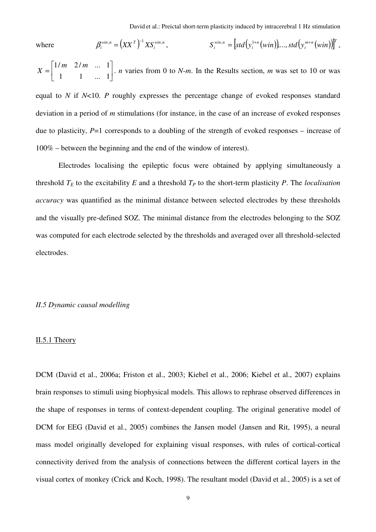where

$$
\beta_i^{\text{win},n} = \left( XX^T \right)^{-1} X S_i^{\text{win},n}, \qquad S_i^{\text{win},n} = \left[ std \left( y_i^{1+n} \left( \text{win} \right) \right), \ldots, std \left( y_i^{m+n} \left( \text{win} \right) \right) \right]^T,
$$

 $\overline{\phantom{a}}$  $\rfloor$ 1  $\mathbf{r}$ L Γ = 1 1 ... 1  $1/m$   $2/m$  ... 1  $X = \begin{bmatrix} 1 & 1 & 1 \\ 1 & 1 & 1 \end{bmatrix}$ . *n* varies from 0 to *N*-*m*. In the Results section, *m* was set to 10 or was

equal to *N* if *N*<10. *P* roughly expresses the percentage change of evoked responses standard deviation in a period of *m* stimulations (for instance, in the case of an increase of evoked responses due to plasticity, *P*=1 corresponds to a doubling of the strength of evoked responses – increase of 100% – between the beginning and the end of the window of interest).

 Electrodes localising the epileptic focus were obtained by applying simultaneously a threshold  $T_F$  to the excitability  $E$  and a threshold  $T_P$  to the short-term plasticity  $P$ . The *localisation accuracy* was quantified as the minimal distance between selected electrodes by these thresholds and the visually pre-defined SOZ. The minimal distance from the electrodes belonging to the SOZ was computed for each electrode selected by the thresholds and averaged over all threshold-selected electrodes.

#### *II.5 Dynamic causal modelling*

#### II.5.1 Theory

DCM (David et al., 2006a; Friston et al., 2003; Kiebel et al., 2006; Kiebel et al., 2007) explains brain responses to stimuli using biophysical models. This allows to rephrase observed differences in the shape of responses in terms of context-dependent coupling. The original generative model of DCM for EEG (David et al., 2005) combines the Jansen model (Jansen and Rit, 1995), a neural mass model originally developed for explaining visual responses, with rules of cortical-cortical connectivity derived from the analysis of connections between the different cortical layers in the visual cortex of monkey (Crick and Koch, 1998). The resultant model (David et al., 2005) is a set of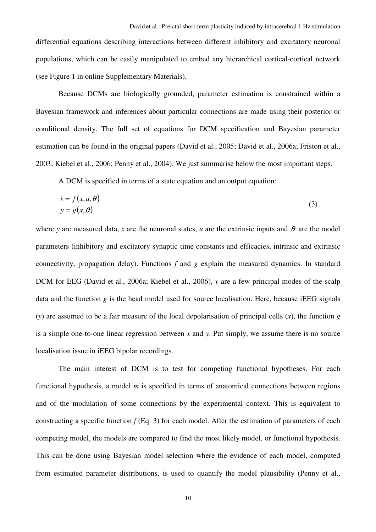differential equations describing interactions between different inhibitory and excitatory neuronal populations, which can be easily manipulated to embed any hierarchical cortical-cortical network (see Figure 1 in online Supplementary Materials).

 Because DCMs are biologically grounded, parameter estimation is constrained within a Bayesian framework and inferences about particular connections are made using their posterior or conditional density. The full set of equations for DCM specification and Bayesian parameter estimation can be found in the original papers (David et al., 2005; David et al., 2006a; Friston et al., 2003; Kiebel et al., 2006; Penny et al., 2004). We just summarise below the most important steps.

A DCM is specified in terms of a state equation and an output equation:

$$
\begin{aligned}\n\dot{x} &= f(x, u, \theta) \\
y &= g(x, \theta)\n\end{aligned} \tag{3}
$$

where *y* are measured data, *x* are the neuronal states, *u* are the extrinsic inputs and  $\theta$  are the model parameters (inhibitory and excitatory synaptic time constants and efficacies, intrinsic and extrinsic connectivity, propagation delay). Functions *f* and *g* explain the measured dynamics. In standard DCM for EEG (David et al., 2006a; Kiebel et al., 2006), *y* are a few principal modes of the scalp data and the function *g* is the head model used for source localisation. Here, because iEEG signals (*y*) are assumed to be a fair measure of the local depolarisation of principal cells (*x*), the function *g* is a simple one-to-one linear regression between *x* and *y*. Put simply, we assume there is no source localisation issue in iEEG bipolar recordings.

 The main interest of DCM is to test for competing functional hypotheses. For each functional hypothesis, a model *m* is specified in terms of anatomical connections between regions and of the modulation of some connections by the experimental context. This is equivalent to constructing a specific function *f* (Eq. 3) for each model. After the estimation of parameters of each competing model, the models are compared to find the most likely model, or functional hypothesis. This can be done using Bayesian model selection where the evidence of each model, computed from estimated parameter distributions, is used to quantify the model plausibility (Penny et al.,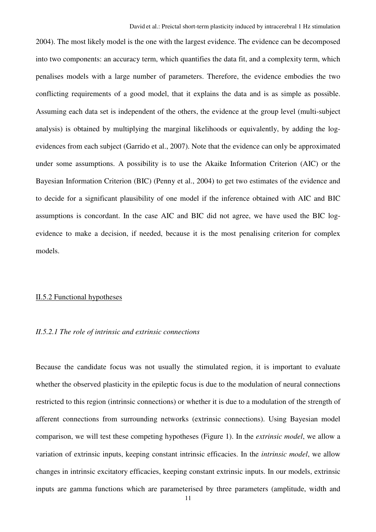2004). The most likely model is the one with the largest evidence. The evidence can be decomposed into two components: an accuracy term, which quantifies the data fit, and a complexity term, which penalises models with a large number of parameters. Therefore, the evidence embodies the two conflicting requirements of a good model, that it explains the data and is as simple as possible. Assuming each data set is independent of the others, the evidence at the group level (multi-subject analysis) is obtained by multiplying the marginal likelihoods or equivalently, by adding the logevidences from each subject (Garrido et al., 2007). Note that the evidence can only be approximated under some assumptions. A possibility is to use the Akaike Information Criterion (AIC) or the Bayesian Information Criterion (BIC) (Penny et al., 2004) to get two estimates of the evidence and to decide for a significant plausibility of one model if the inference obtained with AIC and BIC assumptions is concordant. In the case AIC and BIC did not agree, we have used the BIC logevidence to make a decision, if needed, because it is the most penalising criterion for complex models.

#### II.5.2 Functional hypotheses

#### *II.5.2.1 The role of intrinsic and extrinsic connections*

Because the candidate focus was not usually the stimulated region, it is important to evaluate whether the observed plasticity in the epileptic focus is due to the modulation of neural connections restricted to this region (intrinsic connections) or whether it is due to a modulation of the strength of afferent connections from surrounding networks (extrinsic connections). Using Bayesian model comparison, we will test these competing hypotheses (Figure 1). In the *extrinsic model*, we allow a variation of extrinsic inputs, keeping constant intrinsic efficacies. In the *intrinsic model*, we allow changes in intrinsic excitatory efficacies, keeping constant extrinsic inputs. In our models, extrinsic inputs are gamma functions which are parameterised by three parameters (amplitude, width and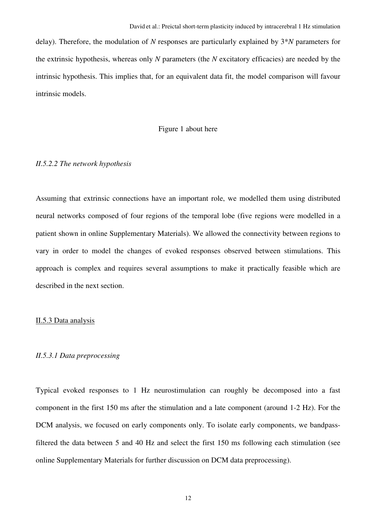delay). Therefore, the modulation of *N* responses are particularly explained by 3\**N* parameters for the extrinsic hypothesis, whereas only *N* parameters (the *N* excitatory efficacies) are needed by the intrinsic hypothesis. This implies that, for an equivalent data fit, the model comparison will favour intrinsic models.

#### Figure 1 about here

#### *II.5.2.2 The network hypothesis*

Assuming that extrinsic connections have an important role, we modelled them using distributed neural networks composed of four regions of the temporal lobe (five regions were modelled in a patient shown in online Supplementary Materials). We allowed the connectivity between regions to vary in order to model the changes of evoked responses observed between stimulations. This approach is complex and requires several assumptions to make it practically feasible which are described in the next section.

#### II.5.3 Data analysis

#### *II.5.3.1 Data preprocessing*

Typical evoked responses to 1 Hz neurostimulation can roughly be decomposed into a fast component in the first 150 ms after the stimulation and a late component (around 1-2 Hz). For the DCM analysis, we focused on early components only. To isolate early components, we bandpassfiltered the data between 5 and 40 Hz and select the first 150 ms following each stimulation (see online Supplementary Materials for further discussion on DCM data preprocessing).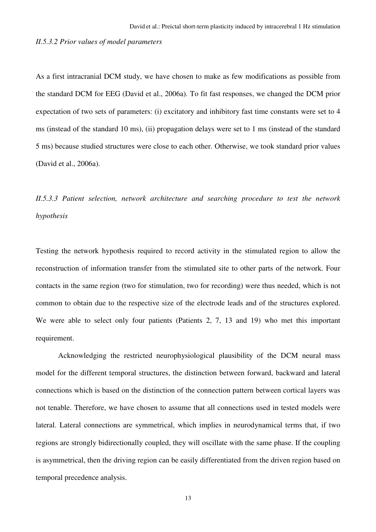#### *II.5.3.2 Prior values of model parameters*

As a first intracranial DCM study, we have chosen to make as few modifications as possible from the standard DCM for EEG (David et al., 2006a). To fit fast responses, we changed the DCM prior expectation of two sets of parameters: (i) excitatory and inhibitory fast time constants were set to 4 ms (instead of the standard 10 ms), (ii) propagation delays were set to 1 ms (instead of the standard 5 ms) because studied structures were close to each other. Otherwise, we took standard prior values (David et al., 2006a).

*II.5.3.3 Patient selection, network architecture and searching procedure to test the network hypothesis* 

Testing the network hypothesis required to record activity in the stimulated region to allow the reconstruction of information transfer from the stimulated site to other parts of the network. Four contacts in the same region (two for stimulation, two for recording) were thus needed, which is not common to obtain due to the respective size of the electrode leads and of the structures explored. We were able to select only four patients (Patients 2, 7, 13 and 19) who met this important requirement.

Acknowledging the restricted neurophysiological plausibility of the DCM neural mass model for the different temporal structures, the distinction between forward, backward and lateral connections which is based on the distinction of the connection pattern between cortical layers was not tenable. Therefore, we have chosen to assume that all connections used in tested models were lateral. Lateral connections are symmetrical, which implies in neurodynamical terms that, if two regions are strongly bidirectionally coupled, they will oscillate with the same phase. If the coupling is asymmetrical, then the driving region can be easily differentiated from the driven region based on temporal precedence analysis.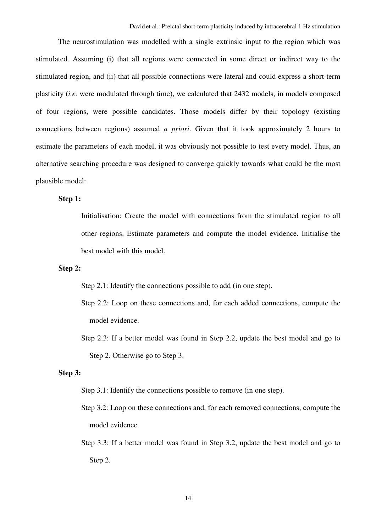The neurostimulation was modelled with a single extrinsic input to the region which was stimulated. Assuming (i) that all regions were connected in some direct or indirect way to the stimulated region, and (ii) that all possible connections were lateral and could express a short-term plasticity (*i.e.* were modulated through time), we calculated that 2432 models, in models composed of four regions, were possible candidates. Those models differ by their topology (existing connections between regions) assumed *a priori*. Given that it took approximately 2 hours to estimate the parameters of each model, it was obviously not possible to test every model. Thus, an alternative searching procedure was designed to converge quickly towards what could be the most plausible model:

#### **Step 1:**

Initialisation: Create the model with connections from the stimulated region to all other regions. Estimate parameters and compute the model evidence. Initialise the best model with this model.

#### **Step 2:**

Step 2.1: Identify the connections possible to add (in one step).

- Step 2.2: Loop on these connections and, for each added connections, compute the model evidence.
- Step 2.3: If a better model was found in Step 2.2, update the best model and go to Step 2. Otherwise go to Step 3.

#### **Step 3:**

- Step 3.1: Identify the connections possible to remove (in one step).
- Step 3.2: Loop on these connections and, for each removed connections, compute the model evidence.
- Step 3.3: If a better model was found in Step 3.2, update the best model and go to Step 2.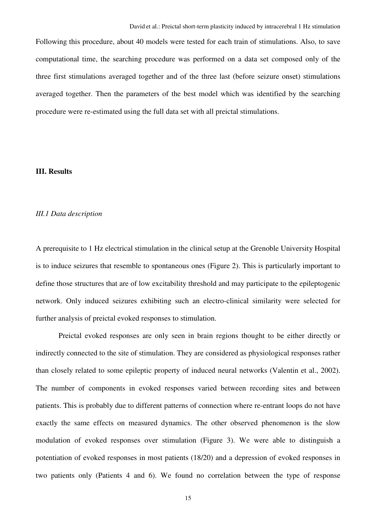Following this procedure, about 40 models were tested for each train of stimulations. Also, to save computational time, the searching procedure was performed on a data set composed only of the three first stimulations averaged together and of the three last (before seizure onset) stimulations averaged together. Then the parameters of the best model which was identified by the searching procedure were re-estimated using the full data set with all preictal stimulations.

#### **III. Results**

#### *III.1 Data description*

A prerequisite to 1 Hz electrical stimulation in the clinical setup at the Grenoble University Hospital is to induce seizures that resemble to spontaneous ones (Figure 2). This is particularly important to define those structures that are of low excitability threshold and may participate to the epileptogenic network. Only induced seizures exhibiting such an electro-clinical similarity were selected for further analysis of preictal evoked responses to stimulation.

Preictal evoked responses are only seen in brain regions thought to be either directly or indirectly connected to the site of stimulation. They are considered as physiological responses rather than closely related to some epileptic property of induced neural networks (Valentin et al., 2002). The number of components in evoked responses varied between recording sites and between patients. This is probably due to different patterns of connection where re-entrant loops do not have exactly the same effects on measured dynamics. The other observed phenomenon is the slow modulation of evoked responses over stimulation (Figure 3). We were able to distinguish a potentiation of evoked responses in most patients (18/20) and a depression of evoked responses in two patients only (Patients 4 and 6). We found no correlation between the type of response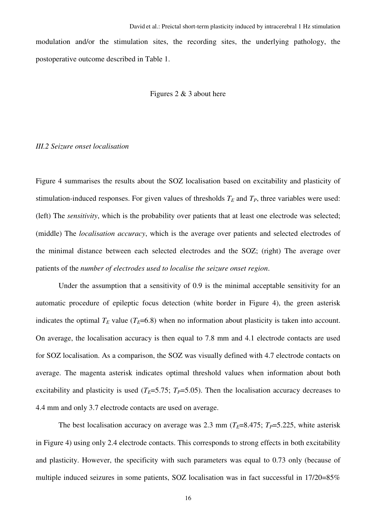modulation and/or the stimulation sites, the recording sites, the underlying pathology, the postoperative outcome described in Table 1.

#### Figures 2 & 3 about here

#### *III.2 Seizure onset localisation*

Figure 4 summarises the results about the SOZ localisation based on excitability and plasticity of stimulation-induced responses. For given values of thresholds  $T_E$  and  $T_P$ , three variables were used: (left) The *sensitivity*, which is the probability over patients that at least one electrode was selected; (middle) The *localisation accuracy*, which is the average over patients and selected electrodes of the minimal distance between each selected electrodes and the SOZ; (right) The average over patients of the *number of electrodes used to localise the seizure onset region*.

Under the assumption that a sensitivity of 0.9 is the minimal acceptable sensitivity for an automatic procedure of epileptic focus detection (white border in Figure 4), the green asterisk indicates the optimal  $T_E$  value ( $T_E$ =6.8) when no information about plasticity is taken into account. On average, the localisation accuracy is then equal to 7.8 mm and 4.1 electrode contacts are used for SOZ localisation. As a comparison, the SOZ was visually defined with 4.7 electrode contacts on average. The magenta asterisk indicates optimal threshold values when information about both excitability and plasticity is used ( $T_E$ =5.75;  $T_P$ =5.05). Then the localisation accuracy decreases to 4.4 mm and only 3.7 electrode contacts are used on average.

The best localisation accuracy on average was 2.3 mm ( $T_F$ =8.475;  $T_P$ =5.225, white asterisk in Figure 4) using only 2.4 electrode contacts. This corresponds to strong effects in both excitability and plasticity. However, the specificity with such parameters was equal to 0.73 only (because of multiple induced seizures in some patients, SOZ localisation was in fact successful in 17/20=85%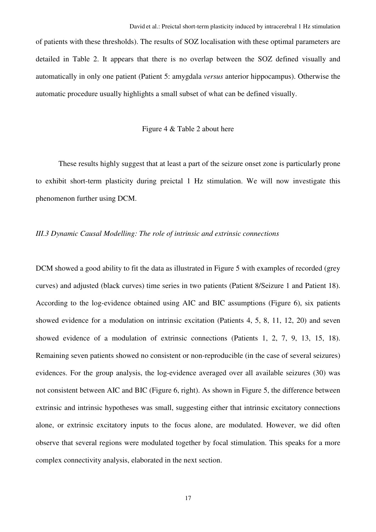of patients with these thresholds). The results of SOZ localisation with these optimal parameters are detailed in Table 2. It appears that there is no overlap between the SOZ defined visually and automatically in only one patient (Patient 5: amygdala *versus* anterior hippocampus). Otherwise the automatic procedure usually highlights a small subset of what can be defined visually.

#### Figure 4 & Table 2 about here

These results highly suggest that at least a part of the seizure onset zone is particularly prone to exhibit short-term plasticity during preictal 1 Hz stimulation. We will now investigate this phenomenon further using DCM.

#### *III.3 Dynamic Causal Modelling: The role of intrinsic and extrinsic connections*

DCM showed a good ability to fit the data as illustrated in Figure 5 with examples of recorded (grey curves) and adjusted (black curves) time series in two patients (Patient 8/Seizure 1 and Patient 18). According to the log-evidence obtained using AIC and BIC assumptions (Figure 6), six patients showed evidence for a modulation on intrinsic excitation (Patients 4, 5, 8, 11, 12, 20) and seven showed evidence of a modulation of extrinsic connections (Patients 1, 2, 7, 9, 13, 15, 18). Remaining seven patients showed no consistent or non-reproducible (in the case of several seizures) evidences. For the group analysis, the log-evidence averaged over all available seizures (30) was not consistent between AIC and BIC (Figure 6, right). As shown in Figure 5, the difference between extrinsic and intrinsic hypotheses was small, suggesting either that intrinsic excitatory connections alone, or extrinsic excitatory inputs to the focus alone, are modulated. However, we did often observe that several regions were modulated together by focal stimulation. This speaks for a more complex connectivity analysis, elaborated in the next section.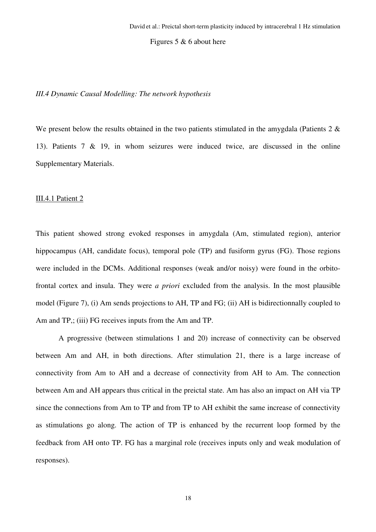Figures 5  $\&$  6 about here

#### *III.4 Dynamic Causal Modelling: The network hypothesis*

We present below the results obtained in the two patients stimulated in the amygdala (Patients 2  $\&$ 13). Patients 7 & 19, in whom seizures were induced twice, are discussed in the online Supplementary Materials.

#### III.4.1 Patient 2

This patient showed strong evoked responses in amygdala (Am, stimulated region), anterior hippocampus (AH, candidate focus), temporal pole (TP) and fusiform gyrus (FG). Those regions were included in the DCMs. Additional responses (weak and/or noisy) were found in the orbitofrontal cortex and insula. They were *a priori* excluded from the analysis. In the most plausible model (Figure 7), (i) Am sends projections to AH, TP and FG; (ii) AH is bidirectionnally coupled to Am and TP,; (iii) FG receives inputs from the Am and TP.

A progressive (between stimulations 1 and 20) increase of connectivity can be observed between Am and AH, in both directions. After stimulation 21, there is a large increase of connectivity from Am to AH and a decrease of connectivity from AH to Am. The connection between Am and AH appears thus critical in the preictal state. Am has also an impact on AH via TP since the connections from Am to TP and from TP to AH exhibit the same increase of connectivity as stimulations go along. The action of TP is enhanced by the recurrent loop formed by the feedback from AH onto TP. FG has a marginal role (receives inputs only and weak modulation of responses).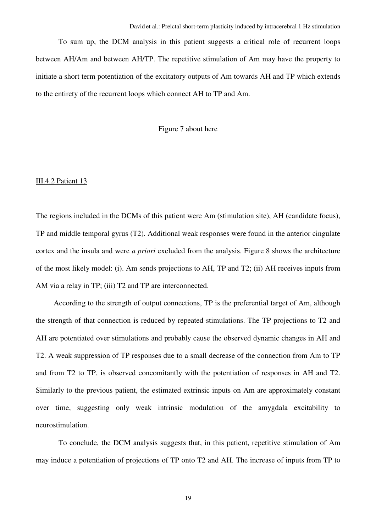To sum up, the DCM analysis in this patient suggests a critical role of recurrent loops between AH/Am and between AH/TP. The repetitive stimulation of Am may have the property to initiate a short term potentiation of the excitatory outputs of Am towards AH and TP which extends to the entirety of the recurrent loops which connect AH to TP and Am.

#### Figure 7 about here

#### III.4.2 Patient 13

The regions included in the DCMs of this patient were Am (stimulation site), AH (candidate focus), TP and middle temporal gyrus (T2). Additional weak responses were found in the anterior cingulate cortex and the insula and were *a priori* excluded from the analysis. Figure 8 shows the architecture of the most likely model: (i). Am sends projections to AH, TP and T2; (ii) AH receives inputs from AM via a relay in TP; (iii) T2 and TP are interconnected.

According to the strength of output connections, TP is the preferential target of Am, although the strength of that connection is reduced by repeated stimulations. The TP projections to T2 and AH are potentiated over stimulations and probably cause the observed dynamic changes in AH and T2. A weak suppression of TP responses due to a small decrease of the connection from Am to TP and from T2 to TP, is observed concomitantly with the potentiation of responses in AH and T2. Similarly to the previous patient, the estimated extrinsic inputs on Am are approximately constant over time, suggesting only weak intrinsic modulation of the amygdala excitability to neurostimulation.

To conclude, the DCM analysis suggests that, in this patient, repetitive stimulation of Am may induce a potentiation of projections of TP onto T2 and AH. The increase of inputs from TP to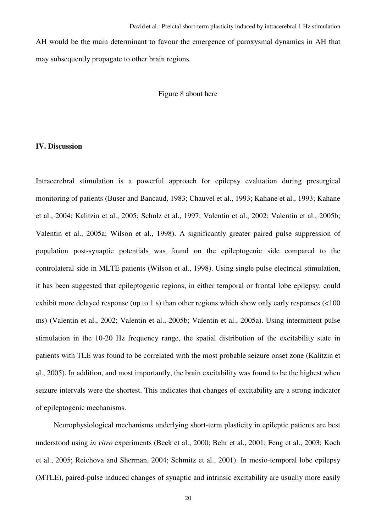AH would be the main determinant to favour the emergence of paroxysmal dynamics in AH that may subsequently propagate to other brain regions.

#### Figure 8 about here

#### **IV. Discussion**

Intracerebral stimulation is a powerful approach for epilepsy evaluation during presurgical monitoring of patients (Buser and Bancaud, 1983; Chauvel et al., 1993; Kahane et al., 1993; Kahane et al., 2004; Kalitzin et al., 2005; Schulz et al., 1997; Valentin et al., 2002; Valentin et al., 2005b; Valentin et al., 2005a; Wilson et al., 1998). A significantly greater paired pulse suppression of population post-synaptic potentials was found on the epileptogenic side compared to the controlateral side in MLTE patients (Wilson et al., 1998). Using single pulse electrical stimulation, it has been suggested that epileptogenic regions, in either temporal or frontal lobe epilepsy, could exhibit more delayed response (up to 1 s) than other regions which show only early responses (<100 ms) (Valentin et al., 2002; Valentin et al., 2005b; Valentin et al., 2005a). Using intermittent pulse stimulation in the 10-20 Hz frequency range, the spatial distribution of the excitability state in patients with TLE was found to be correlated with the most probable seizure onset zone (Kalitzin et al., 2005). In addition, and most importantly, the brain excitability was found to be the highest when seizure intervals were the shortest. This indicates that changes of excitability are a strong indicator of epileptogenic mechanisms.

Neurophysiological mechanisms underlying short-term plasticity in epileptic patients are best understood using *in vitro* experiments (Beck et al., 2000; Behr et al., 2001; Feng et al., 2003; Koch et al., 2005; Reichova and Sherman, 2004; Schmitz et al., 2001). In mesio-temporal lobe epilepsy (MTLE), paired-pulse induced changes of synaptic and intrinsic excitability are usually more easily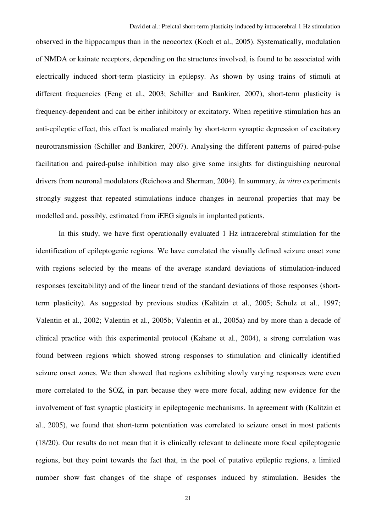observed in the hippocampus than in the neocortex (Koch et al., 2005). Systematically, modulation of NMDA or kainate receptors, depending on the structures involved, is found to be associated with electrically induced short-term plasticity in epilepsy. As shown by using trains of stimuli at different frequencies (Feng et al., 2003; Schiller and Bankirer, 2007), short-term plasticity is frequency-dependent and can be either inhibitory or excitatory. When repetitive stimulation has an anti-epileptic effect, this effect is mediated mainly by short-term synaptic depression of excitatory neurotransmission (Schiller and Bankirer, 2007). Analysing the different patterns of paired-pulse facilitation and paired-pulse inhibition may also give some insights for distinguishing neuronal drivers from neuronal modulators (Reichova and Sherman, 2004). In summary, *in vitro* experiments strongly suggest that repeated stimulations induce changes in neuronal properties that may be modelled and, possibly, estimated from iEEG signals in implanted patients.

 In this study, we have first operationally evaluated 1 Hz intracerebral stimulation for the identification of epileptogenic regions. We have correlated the visually defined seizure onset zone with regions selected by the means of the average standard deviations of stimulation-induced responses (excitability) and of the linear trend of the standard deviations of those responses (shortterm plasticity). As suggested by previous studies (Kalitzin et al., 2005; Schulz et al., 1997; Valentin et al., 2002; Valentin et al., 2005b; Valentin et al., 2005a) and by more than a decade of clinical practice with this experimental protocol (Kahane et al., 2004), a strong correlation was found between regions which showed strong responses to stimulation and clinically identified seizure onset zones. We then showed that regions exhibiting slowly varying responses were even more correlated to the SOZ, in part because they were more focal, adding new evidence for the involvement of fast synaptic plasticity in epileptogenic mechanisms. In agreement with (Kalitzin et al., 2005), we found that short-term potentiation was correlated to seizure onset in most patients (18/20). Our results do not mean that it is clinically relevant to delineate more focal epileptogenic regions, but they point towards the fact that, in the pool of putative epileptic regions, a limited number show fast changes of the shape of responses induced by stimulation. Besides the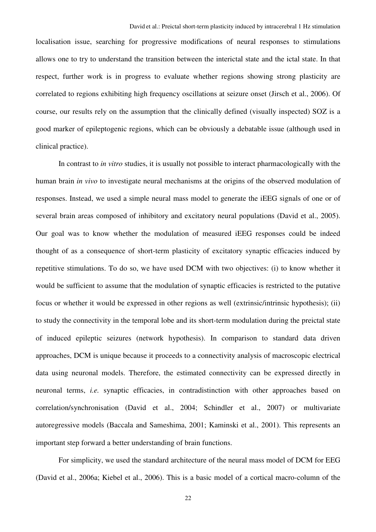localisation issue, searching for progressive modifications of neural responses to stimulations allows one to try to understand the transition between the interictal state and the ictal state. In that respect, further work is in progress to evaluate whether regions showing strong plasticity are correlated to regions exhibiting high frequency oscillations at seizure onset (Jirsch et al., 2006). Of course, our results rely on the assumption that the clinically defined (visually inspected) SOZ is a good marker of epileptogenic regions, which can be obviously a debatable issue (although used in clinical practice).

In contrast to *in vitro* studies, it is usually not possible to interact pharmacologically with the human brain *in vivo* to investigate neural mechanisms at the origins of the observed modulation of responses. Instead, we used a simple neural mass model to generate the iEEG signals of one or of several brain areas composed of inhibitory and excitatory neural populations (David et al., 2005). Our goal was to know whether the modulation of measured iEEG responses could be indeed thought of as a consequence of short-term plasticity of excitatory synaptic efficacies induced by repetitive stimulations. To do so, we have used DCM with two objectives: (i) to know whether it would be sufficient to assume that the modulation of synaptic efficacies is restricted to the putative focus or whether it would be expressed in other regions as well (extrinsic/intrinsic hypothesis); (ii) to study the connectivity in the temporal lobe and its short-term modulation during the preictal state of induced epileptic seizures (network hypothesis). In comparison to standard data driven approaches, DCM is unique because it proceeds to a connectivity analysis of macroscopic electrical data using neuronal models. Therefore, the estimated connectivity can be expressed directly in neuronal terms, *i.e.* synaptic efficacies, in contradistinction with other approaches based on correlation/synchronisation (David et al., 2004; Schindler et al., 2007) or multivariate autoregressive models (Baccala and Sameshima, 2001; Kaminski et al., 2001). This represents an important step forward a better understanding of brain functions.

For simplicity, we used the standard architecture of the neural mass model of DCM for EEG (David et al., 2006a; Kiebel et al., 2006). This is a basic model of a cortical macro-column of the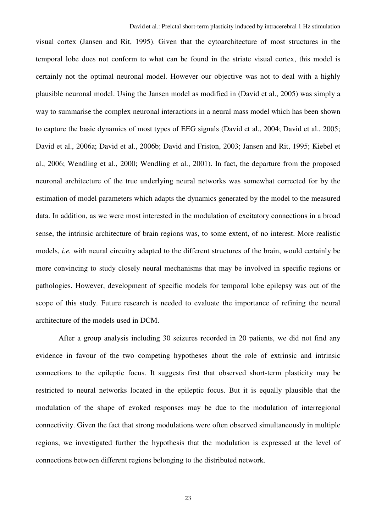visual cortex (Jansen and Rit, 1995). Given that the cytoarchitecture of most structures in the temporal lobe does not conform to what can be found in the striate visual cortex, this model is certainly not the optimal neuronal model. However our objective was not to deal with a highly plausible neuronal model. Using the Jansen model as modified in (David et al., 2005) was simply a way to summarise the complex neuronal interactions in a neural mass model which has been shown to capture the basic dynamics of most types of EEG signals (David et al., 2004; David et al., 2005; David et al., 2006a; David et al., 2006b; David and Friston, 2003; Jansen and Rit, 1995; Kiebel et al., 2006; Wendling et al., 2000; Wendling et al., 2001). In fact, the departure from the proposed neuronal architecture of the true underlying neural networks was somewhat corrected for by the estimation of model parameters which adapts the dynamics generated by the model to the measured data. In addition, as we were most interested in the modulation of excitatory connections in a broad sense, the intrinsic architecture of brain regions was, to some extent, of no interest. More realistic models, *i.e.* with neural circuitry adapted to the different structures of the brain, would certainly be more convincing to study closely neural mechanisms that may be involved in specific regions or pathologies. However, development of specific models for temporal lobe epilepsy was out of the scope of this study. Future research is needed to evaluate the importance of refining the neural architecture of the models used in DCM.

After a group analysis including 30 seizures recorded in 20 patients, we did not find any evidence in favour of the two competing hypotheses about the role of extrinsic and intrinsic connections to the epileptic focus. It suggests first that observed short-term plasticity may be restricted to neural networks located in the epileptic focus. But it is equally plausible that the modulation of the shape of evoked responses may be due to the modulation of interregional connectivity. Given the fact that strong modulations were often observed simultaneously in multiple regions, we investigated further the hypothesis that the modulation is expressed at the level of connections between different regions belonging to the distributed network.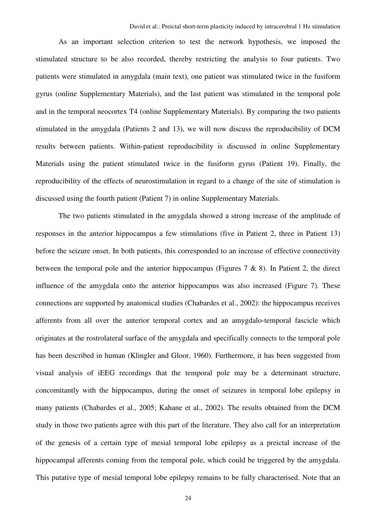As an important selection criterion to test the network hypothesis, we imposed the stimulated structure to be also recorded, thereby restricting the analysis to four patients. Two patients were stimulated in amygdala (main text), one patient was stimulated twice in the fusiform gyrus (online Supplementary Materials), and the last patient was stimulated in the temporal pole and in the temporal neocortex T4 (online Supplementary Materials). By comparing the two patients stimulated in the amygdala (Patients 2 and 13), we will now discuss the reproducibility of DCM results between patients. Within-patient reproducibility is discussed in online Supplementary Materials using the patient stimulated twice in the fusiform gyrus (Patient 19). Finally, the reproducibility of the effects of neurostimulation in regard to a change of the site of stimulation is discussed using the fourth patient (Patient 7) in online Supplementary Materials.

The two patients stimulated in the amygdala showed a strong increase of the amplitude of responses in the anterior hippocampus a few stimulations (five in Patient 2, three in Patient 13) before the seizure onset. In both patients, this corresponded to an increase of effective connectivity between the temporal pole and the anterior hippocampus (Figures  $7 \& 8$ ). In Patient 2, the direct influence of the amygdala onto the anterior hippocampus was also increased (Figure 7). These connections are supported by anatomical studies (Chabardes et al., 2002): the hippocampus receives afferents from all over the anterior temporal cortex and an amygdalo-temporal fascicle which originates at the rostrolateral surface of the amygdala and specifically connects to the temporal pole has been described in human (Klingler and Gloor, 1960). Furthermore, it has been suggested from visual analysis of iEEG recordings that the temporal pole may be a determinant structure, concomitantly with the hippocampus, during the onset of seizures in temporal lobe epilepsy in many patients (Chabardes et al., 2005; Kahane et al., 2002). The results obtained from the DCM study in those two patients agree with this part of the literature. They also call for an interpretation of the genesis of a certain type of mesial temporal lobe epilepsy as a preictal increase of the hippocampal afferents coming from the temporal pole, which could be triggered by the amygdala. This putative type of mesial temporal lobe epilepsy remains to be fully characterised. Note that an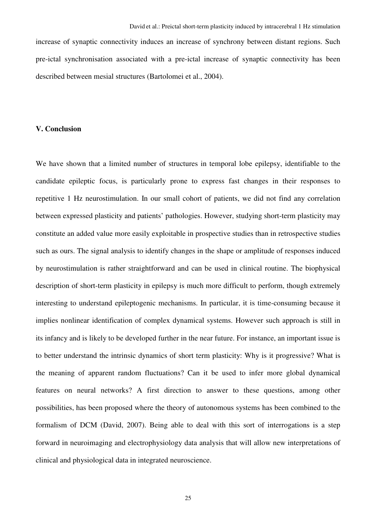increase of synaptic connectivity induces an increase of synchrony between distant regions. Such pre-ictal synchronisation associated with a pre-ictal increase of synaptic connectivity has been described between mesial structures (Bartolomei et al., 2004).

#### **V. Conclusion**

We have shown that a limited number of structures in temporal lobe epilepsy, identifiable to the candidate epileptic focus, is particularly prone to express fast changes in their responses to repetitive 1 Hz neurostimulation. In our small cohort of patients, we did not find any correlation between expressed plasticity and patients' pathologies. However, studying short-term plasticity may constitute an added value more easily exploitable in prospective studies than in retrospective studies such as ours. The signal analysis to identify changes in the shape or amplitude of responses induced by neurostimulation is rather straightforward and can be used in clinical routine. The biophysical description of short-term plasticity in epilepsy is much more difficult to perform, though extremely interesting to understand epileptogenic mechanisms. In particular, it is time-consuming because it implies nonlinear identification of complex dynamical systems. However such approach is still in its infancy and is likely to be developed further in the near future. For instance, an important issue is to better understand the intrinsic dynamics of short term plasticity: Why is it progressive? What is the meaning of apparent random fluctuations? Can it be used to infer more global dynamical features on neural networks? A first direction to answer to these questions, among other possibilities, has been proposed where the theory of autonomous systems has been combined to the formalism of DCM (David, 2007). Being able to deal with this sort of interrogations is a step forward in neuroimaging and electrophysiology data analysis that will allow new interpretations of clinical and physiological data in integrated neuroscience.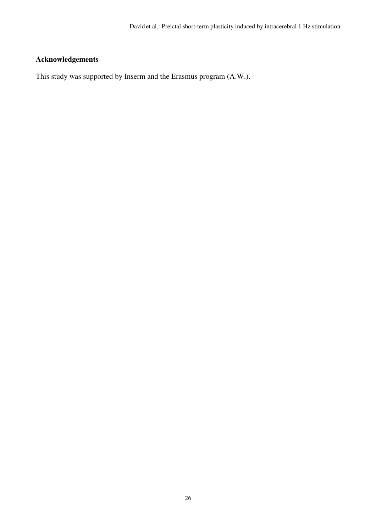## **Acknowledgements**

This study was supported by Inserm and the Erasmus program (A.W.).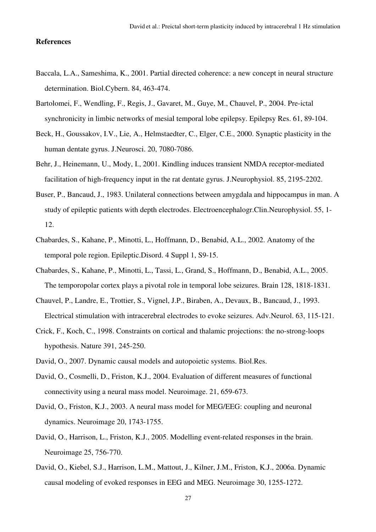#### **References**

- Baccala, L.A., Sameshima, K., 2001. Partial directed coherence: a new concept in neural structure determination. Biol.Cybern. 84, 463-474.
- Bartolomei, F., Wendling, F., Regis, J., Gavaret, M., Guye, M., Chauvel, P., 2004. Pre-ictal synchronicity in limbic networks of mesial temporal lobe epilepsy. Epilepsy Res. 61, 89-104.
- Beck, H., Goussakov, I.V., Lie, A., Helmstaedter, C., Elger, C.E., 2000. Synaptic plasticity in the human dentate gyrus. J.Neurosci. 20, 7080-7086.
- Behr, J., Heinemann, U., Mody, I., 2001. Kindling induces transient NMDA receptor-mediated facilitation of high-frequency input in the rat dentate gyrus. J.Neurophysiol. 85, 2195-2202.
- Buser, P., Bancaud, J., 1983. Unilateral connections between amygdala and hippocampus in man. A study of epileptic patients with depth electrodes. Electroencephalogr.Clin.Neurophysiol. 55, 1- 12.
- Chabardes, S., Kahane, P., Minotti, L., Hoffmann, D., Benabid, A.L., 2002. Anatomy of the temporal pole region. Epileptic.Disord. 4 Suppl 1, S9-15.
- Chabardes, S., Kahane, P., Minotti, L., Tassi, L., Grand, S., Hoffmann, D., Benabid, A.L., 2005. The temporopolar cortex plays a pivotal role in temporal lobe seizures. Brain 128, 1818-1831.
- Chauvel, P., Landre, E., Trottier, S., Vignel, J.P., Biraben, A., Devaux, B., Bancaud, J., 1993. Electrical stimulation with intracerebral electrodes to evoke seizures. Adv.Neurol. 63, 115-121.
- Crick, F., Koch, C., 1998. Constraints on cortical and thalamic projections: the no-strong-loops hypothesis. Nature 391, 245-250.
- David, O., 2007. Dynamic causal models and autopoietic systems. Biol.Res.
- David, O., Cosmelli, D., Friston, K.J., 2004. Evaluation of different measures of functional connectivity using a neural mass model. Neuroimage. 21, 659-673.
- David, O., Friston, K.J., 2003. A neural mass model for MEG/EEG: coupling and neuronal dynamics. Neuroimage 20, 1743-1755.
- David, O., Harrison, L., Friston, K.J., 2005. Modelling event-related responses in the brain. Neuroimage 25, 756-770.
- David, O., Kiebel, S.J., Harrison, L.M., Mattout, J., Kilner, J.M., Friston, K.J., 2006a. Dynamic causal modeling of evoked responses in EEG and MEG. Neuroimage 30, 1255-1272.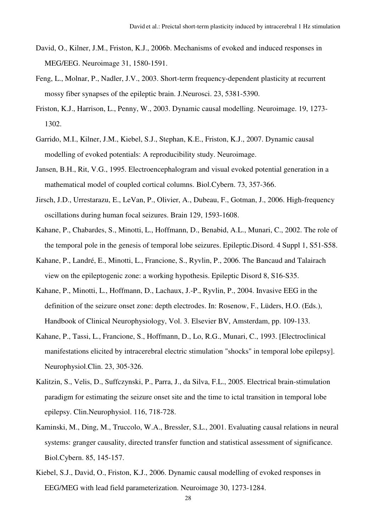- David, O., Kilner, J.M., Friston, K.J., 2006b. Mechanisms of evoked and induced responses in MEG/EEG. Neuroimage 31, 1580-1591.
- Feng, L., Molnar, P., Nadler, J.V., 2003. Short-term frequency-dependent plasticity at recurrent mossy fiber synapses of the epileptic brain. J.Neurosci. 23, 5381-5390.
- Friston, K.J., Harrison, L., Penny, W., 2003. Dynamic causal modelling. Neuroimage. 19, 1273- 1302.
- Garrido, M.I., Kilner, J.M., Kiebel, S.J., Stephan, K.E., Friston, K.J., 2007. Dynamic causal modelling of evoked potentials: A reproducibility study. Neuroimage.
- Jansen, B.H., Rit, V.G., 1995. Electroencephalogram and visual evoked potential generation in a mathematical model of coupled cortical columns. Biol.Cybern. 73, 357-366.
- Jirsch, J.D., Urrestarazu, E., LeVan, P., Olivier, A., Dubeau, F., Gotman, J., 2006. High-frequency oscillations during human focal seizures. Brain 129, 1593-1608.
- Kahane, P., Chabardes, S., Minotti, L., Hoffmann, D., Benabid, A.L., Munari, C., 2002. The role of the temporal pole in the genesis of temporal lobe seizures. Epileptic.Disord. 4 Suppl 1, S51-S58.
- Kahane, P., Landré, E., Minotti, L., Francione, S., Ryvlin, P., 2006. The Bancaud and Talairach view on the epileptogenic zone: a working hypothesis. Epileptic Disord 8, S16-S35.
- Kahane, P., Minotti, L., Hoffmann, D., Lachaux, J.-P., Ryvlin, P., 2004. Invasive EEG in the definition of the seizure onset zone: depth electrodes. In: Rosenow, F., Lüders, H.O. (Eds.), Handbook of Clinical Neurophysiology, Vol. 3. Elsevier BV, Amsterdam, pp. 109-133.
- Kahane, P., Tassi, L., Francione, S., Hoffmann, D., Lo, R.G., Munari, C., 1993. [Electroclinical manifestations elicited by intracerebral electric stimulation "shocks" in temporal lobe epilepsy]. Neurophysiol.Clin. 23, 305-326.
- Kalitzin, S., Velis, D., Suffczynski, P., Parra, J., da Silva, F.L., 2005. Electrical brain-stimulation paradigm for estimating the seizure onset site and the time to ictal transition in temporal lobe epilepsy. Clin.Neurophysiol. 116, 718-728.
- Kaminski, M., Ding, M., Truccolo, W.A., Bressler, S.L., 2001. Evaluating causal relations in neural systems: granger causality, directed transfer function and statistical assessment of significance. Biol.Cybern. 85, 145-157.
- Kiebel, S.J., David, O., Friston, K.J., 2006. Dynamic causal modelling of evoked responses in EEG/MEG with lead field parameterization. Neuroimage 30, 1273-1284.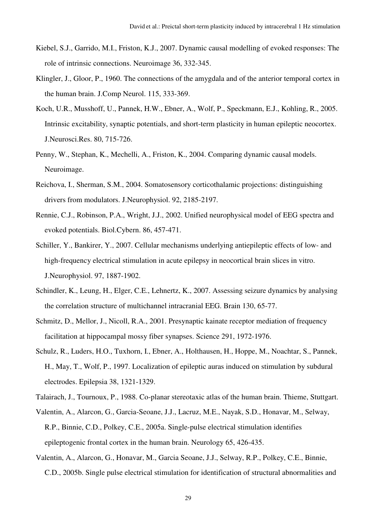- Kiebel, S.J., Garrido, M.I., Friston, K.J., 2007. Dynamic causal modelling of evoked responses: The role of intrinsic connections. Neuroimage 36, 332-345.
- Klingler, J., Gloor, P., 1960. The connections of the amygdala and of the anterior temporal cortex in the human brain. J.Comp Neurol. 115, 333-369.
- Koch, U.R., Musshoff, U., Pannek, H.W., Ebner, A., Wolf, P., Speckmann, E.J., Kohling, R., 2005. Intrinsic excitability, synaptic potentials, and short-term plasticity in human epileptic neocortex. J.Neurosci.Res. 80, 715-726.
- Penny, W., Stephan, K., Mechelli, A., Friston, K., 2004. Comparing dynamic causal models. Neuroimage.
- Reichova, I., Sherman, S.M., 2004. Somatosensory corticothalamic projections: distinguishing drivers from modulators. J.Neurophysiol. 92, 2185-2197.
- Rennie, C.J., Robinson, P.A., Wright, J.J., 2002. Unified neurophysical model of EEG spectra and evoked potentials. Biol.Cybern. 86, 457-471.
- Schiller, Y., Bankirer, Y., 2007. Cellular mechanisms underlying antiepileptic effects of low- and high-frequency electrical stimulation in acute epilepsy in neocortical brain slices in vitro. J.Neurophysiol. 97, 1887-1902.
- Schindler, K., Leung, H., Elger, C.E., Lehnertz, K., 2007. Assessing seizure dynamics by analysing the correlation structure of multichannel intracranial EEG. Brain 130, 65-77.
- Schmitz, D., Mellor, J., Nicoll, R.A., 2001. Presynaptic kainate receptor mediation of frequency facilitation at hippocampal mossy fiber synapses. Science 291, 1972-1976.
- Schulz, R., Luders, H.O., Tuxhorn, I., Ebner, A., Holthausen, H., Hoppe, M., Noachtar, S., Pannek, H., May, T., Wolf, P., 1997. Localization of epileptic auras induced on stimulation by subdural electrodes. Epilepsia 38, 1321-1329.
- Talairach, J., Tournoux, P., 1988. Co-planar stereotaxic atlas of the human brain. Thieme, Stuttgart.
- Valentin, A., Alarcon, G., Garcia-Seoane, J.J., Lacruz, M.E., Nayak, S.D., Honavar, M., Selway, R.P., Binnie, C.D., Polkey, C.E., 2005a. Single-pulse electrical stimulation identifies epileptogenic frontal cortex in the human brain. Neurology 65, 426-435.
- Valentin, A., Alarcon, G., Honavar, M., Garcia Seoane, J.J., Selway, R.P., Polkey, C.E., Binnie, C.D., 2005b. Single pulse electrical stimulation for identification of structural abnormalities and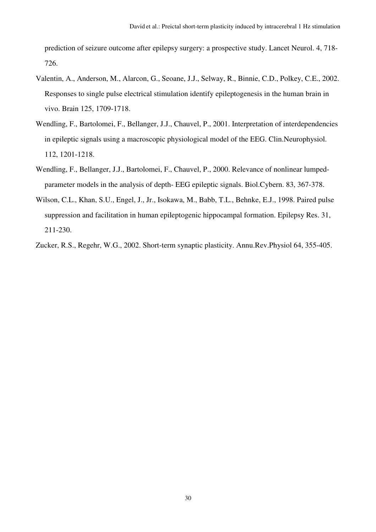prediction of seizure outcome after epilepsy surgery: a prospective study. Lancet Neurol. 4, 718- 726.

- Valentin, A., Anderson, M., Alarcon, G., Seoane, J.J., Selway, R., Binnie, C.D., Polkey, C.E., 2002. Responses to single pulse electrical stimulation identify epileptogenesis in the human brain in vivo. Brain 125, 1709-1718.
- Wendling, F., Bartolomei, F., Bellanger, J.J., Chauvel, P., 2001. Interpretation of interdependencies in epileptic signals using a macroscopic physiological model of the EEG. Clin.Neurophysiol. 112, 1201-1218.
- Wendling, F., Bellanger, J.J., Bartolomei, F., Chauvel, P., 2000. Relevance of nonlinear lumpedparameter models in the analysis of depth- EEG epileptic signals. Biol.Cybern. 83, 367-378.
- Wilson, C.L., Khan, S.U., Engel, J., Jr., Isokawa, M., Babb, T.L., Behnke, E.J., 1998. Paired pulse suppression and facilitation in human epileptogenic hippocampal formation. Epilepsy Res. 31, 211-230.

Zucker, R.S., Regehr, W.G., 2002. Short-term synaptic plasticity. Annu.Rev.Physiol 64, 355-405.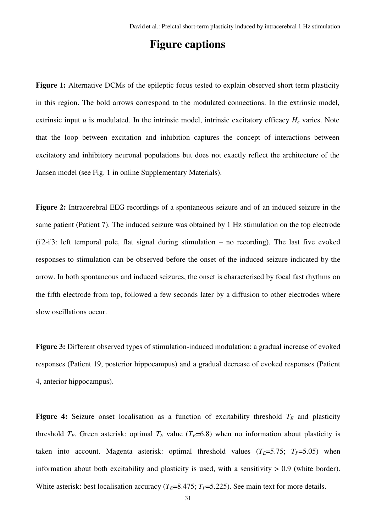## **Figure captions**

**Figure 1:** Alternative DCMs of the epileptic focus tested to explain observed short term plasticity in this region. The bold arrows correspond to the modulated connections. In the extrinsic model, extrinsic input *u* is modulated. In the intrinsic model, intrinsic excitatory efficacy  $H_e$  varies. Note that the loop between excitation and inhibition captures the concept of interactions between excitatory and inhibitory neuronal populations but does not exactly reflect the architecture of the Jansen model (see Fig. 1 in online Supplementary Materials).

**Figure 2:** Intracerebral EEG recordings of a spontaneous seizure and of an induced seizure in the same patient (Patient 7). The induced seizure was obtained by 1 Hz stimulation on the top electrode (i'2-i'3: left temporal pole, flat signal during stimulation – no recording). The last five evoked responses to stimulation can be observed before the onset of the induced seizure indicated by the arrow. In both spontaneous and induced seizures, the onset is characterised by focal fast rhythms on the fifth electrode from top, followed a few seconds later by a diffusion to other electrodes where slow oscillations occur.

**Figure 3:** Different observed types of stimulation-induced modulation: a gradual increase of evoked responses (Patient 19, posterior hippocampus) and a gradual decrease of evoked responses (Patient 4, anterior hippocampus).

**Figure 4:** Seizure onset localisation as a function of excitability threshold  $T_E$  and plasticity threshold  $T_P$ . Green asterisk: optimal  $T_E$  value ( $T_E$ =6.8) when no information about plasticity is taken into account. Magenta asterisk: optimal threshold values  $(T_E=5.75; T_P=5.05)$  when information about both excitability and plasticity is used, with a sensitivity  $> 0.9$  (white border). White asterisk: best localisation accuracy ( $T_E$ =8.475;  $T_P$ =5.225). See main text for more details.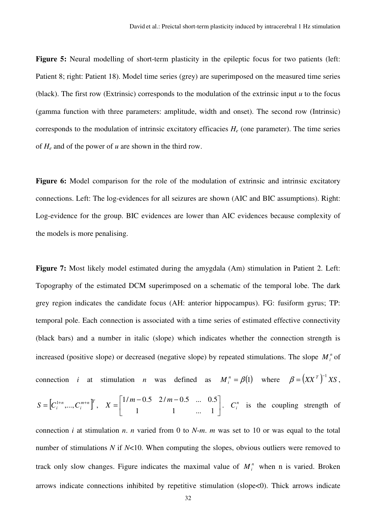Figure 5: Neural modelling of short-term plasticity in the epileptic focus for two patients (left: Patient 8; right: Patient 18). Model time series (grey) are superimposed on the measured time series (black). The first row (Extrinsic) corresponds to the modulation of the extrinsic input *u* to the focus (gamma function with three parameters: amplitude, width and onset). The second row (Intrinsic) corresponds to the modulation of intrinsic excitatory efficacies  $H_e$  (one parameter). The time series of *He* and of the power of *u* are shown in the third row.

**Figure 6:** Model comparison for the role of the modulation of extrinsic and intrinsic excitatory connections. Left: The log-evidences for all seizures are shown (AIC and BIC assumptions). Right: Log-evidence for the group. BIC evidences are lower than AIC evidences because complexity of the models is more penalising.

**Figure 7:** Most likely model estimated during the amygdala (Am) stimulation in Patient 2. Left: Topography of the estimated DCM superimposed on a schematic of the temporal lobe. The dark grey region indicates the candidate focus (AH: anterior hippocampus). FG: fusiform gyrus; TP: temporal pole. Each connection is associated with a time series of estimated effective connectivity (black bars) and a number in italic (slope) which indicates whether the connection strength is increased (positive slope) or decreased (negative slope) by repeated stimulations. The slope  $M_i^n$  of connection *i* at stimulation *n* was defined as  $M_i^n = \beta(1)$  where  $\beta = (XX^T)^{-1}XS$ ,  $\left[ C_i^{1+n},...,C_i^{m+n} \right]^T$ *i*  $S = [C_i^{1+n},..., C_i^{m+n}]^t$ ,  $X = \begin{bmatrix} 1/m & 0.5 & 27m & 0.5 & ... & 0.5 \\ 0 & 1 & 0 & 1 & 1 \end{bmatrix}$ 」 1  $\mathbf{r}$ L  $\begin{bmatrix} 1/m - 0.5 & 2/m - \end{bmatrix}$ = 1 1 ... 1  $1/m - 0.5$   $2/m - 0.5$  ... 0.5  $X = \begin{bmatrix} 1/m & 0.5 & 27m & 0.5 & \dots & 0.5 \end{bmatrix}$ .  $C_i^n$  is the coupling strength of connection *i* at stimulation *n*. *n* varied from 0 to *N*-*m*. *m* was set to 10 or was equal to the total number of stimulations *N* if *N*<10. When computing the slopes, obvious outliers were removed to track only slow changes. Figure indicates the maximal value of  $M_i^n$  when n is varied. Broken arrows indicate connections inhibited by repetitive stimulation (slope<0). Thick arrows indicate